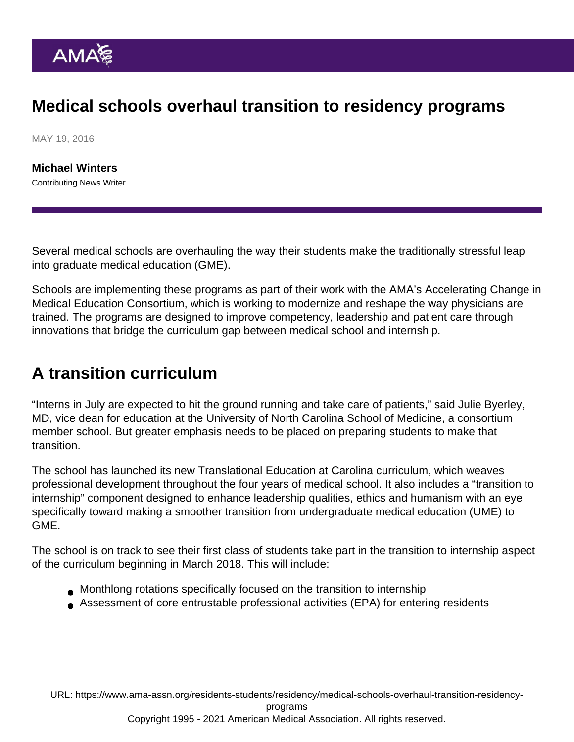# Medical schools overhaul transition to residency programs

MAY 19, 2016

[Michael Winters](https://www.ama-assn.org/news-leadership-viewpoints/authors-news-leadership-viewpoints/michael-winters) Contributing News Writer

Several medical schools are overhauling the way their students make the traditionally stressful leap into graduate medical education (GME).

Schools are implementing these programs as part of their work with the AMA's [Accelerating Change in](https://www.ama-assn.org/education/accelerating-change-medical-education) [Medical Education Consortium,](https://www.ama-assn.org/education/accelerating-change-medical-education) which is working to modernize and reshape the way physicians are trained. The programs are designed to improve competency, leadership and patient care through innovations that bridge the curriculum gap between medical school and internship.

### A transition curriculum

"Interns in July are expected to hit the ground running and take care of patients," said Julie Byerley, MD, vice dean for education at the University of North Carolina School of Medicine, a consortium member school. But greater emphasis needs to be placed on preparing students to make that transition.

The school has launched its new [Translational Education at Carolina](http://www.med.unc.edu/md/curriculum/curriculum-structure/tec-curriculum-information/tec-overview) curriculum, which weaves professional development throughout the four years of medical school. It also includes a "transition to internship" component designed to enhance leadership qualities, ethics and humanism with an eye specifically toward making a smoother transition from undergraduate medical education (UME) to GME.

The school is on track to see their first class of students take part in the transition to internship aspect of the curriculum beginning in March 2018. This will include:

- Monthlong rotations specifically focused on the transition to internship
- Assessment of core entrustable professional activities (EPA) for entering residents

URL: [https://www.ama-assn.org/residents-students/residency/medical-schools-overhaul-transition-residency](https://www.ama-assn.org/residents-students/residency/medical-schools-overhaul-transition-residency-programs)[programs](https://www.ama-assn.org/residents-students/residency/medical-schools-overhaul-transition-residency-programs) Copyright 1995 - 2021 American Medical Association. All rights reserved.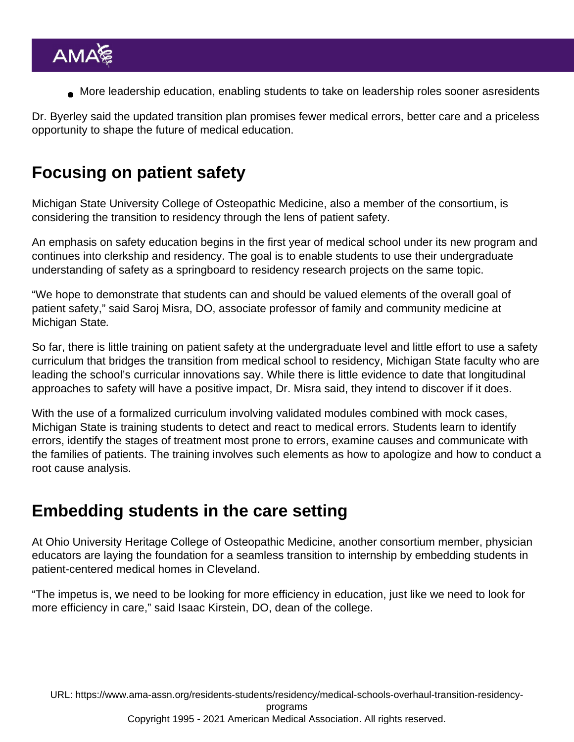More leadership education, enabling students to take on leadership roles sooner asresidents

Dr. Byerley said the updated transition plan promises fewer medical errors, better care and a priceless opportunity to shape the future of medical education.

# Focusing on patient safety

Michigan State University College of Osteopathic Medicine, also a member of the consortium, is considering the transition to residency through the lens of patient safety.

An emphasis on safety education begins in the first year of medical school under its new program and continues into clerkship and residency. The goal is to enable students to use their undergraduate understanding of safety as a springboard to residency research projects on the same topic.

"We hope to demonstrate that students can and should be valued elements of the overall goal of patient safety," said Saroj Misra, DO, associate professor of family and community medicine at Michigan State.

So far, there is little training on patient safety at the undergraduate level and little effort to use a safety curriculum that bridges the transition from medical school to residency, Michigan State faculty who are leading the school's curricular innovations say. While there is little evidence to date that longitudinal approaches to safety will have a positive impact, Dr. Misra said, they intend to discover if it does.

With the use of a formalized curriculum involving validated modules combined with mock cases, Michigan State is training students to detect and react to medical errors. Students learn to identify errors, identify the stages of treatment most prone to errors, examine causes and communicate with the families of patients. The training involves such elements as how to apologize and how to conduct a root cause analysis.

## Embedding students in the care setting

At Ohio University Heritage College of Osteopathic Medicine, another consortium member, physician educators are laying the foundation for a seamless transition to internship by embedding students in patient-centered medical homes in Cleveland.

"The impetus is, we need to be looking for more efficiency in education, just like we need to look for more efficiency in care," said Isaac Kirstein, DO, dean of the college.

URL: [https://www.ama-assn.org/residents-students/residency/medical-schools-overhaul-transition-residency](https://www.ama-assn.org/residents-students/residency/medical-schools-overhaul-transition-residency-programs)[programs](https://www.ama-assn.org/residents-students/residency/medical-schools-overhaul-transition-residency-programs) Copyright 1995 - 2021 American Medical Association. All rights reserved.